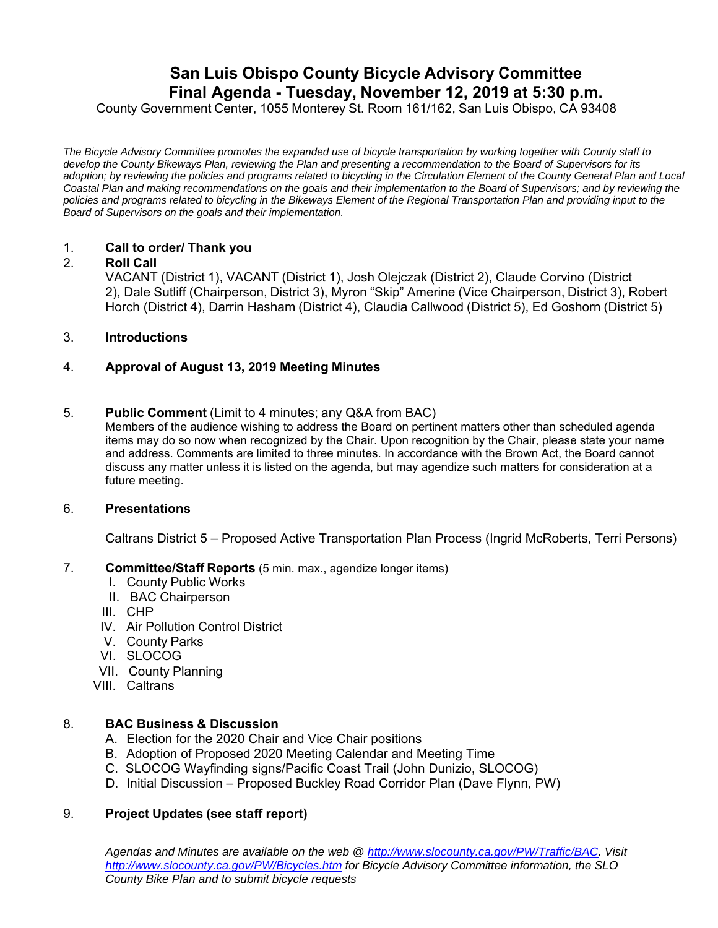# **San Luis Obispo County Bicycle Advisory Committee Final Agenda - Tuesday, November 12, 2019 at 5:30 p.m.**

County Government Center, 1055 Monterey St. Room 161/162, San Luis Obispo, CA 93408

*The Bicycle Advisory Committee promotes the expanded use of bicycle transportation by working together with County staff to develop the County Bikeways Plan, reviewing the Plan and presenting a recommendation to the Board of Supervisors for its adoption; by reviewing the policies and programs related to bicycling in the Circulation Element of the County General Plan and Local Coastal Plan and making recommendations on the goals and their implementation to the Board of Supervisors; and by reviewing the policies and programs related to bicycling in the Bikeways Element of the Regional Transportation Plan and providing input to the Board of Supervisors on the goals and their implementation.*

## 1. **Call to order/ Thank you**

## 2. **Roll Call**

VACANT (District 1), VACANT (District 1), Josh Olejczak (District 2), Claude Corvino (District 2), Dale Sutliff (Chairperson, District 3), Myron "Skip" Amerine (Vice Chairperson, District 3), Robert Horch (District 4), Darrin Hasham (District 4), Claudia Callwood (District 5), Ed Goshorn (District 5)

## 3. **Introductions**

# 4. **Approval of August 13, 2019 Meeting Minutes**

#### 5. **Public Comment** (Limit to 4 minutes; any Q&A from BAC)

Members of the audience wishing to address the Board on pertinent matters other than scheduled agenda items may do so now when recognized by the Chair. Upon recognition by the Chair, please state your name and address. Comments are limited to three minutes. In accordance with the Brown Act, the Board cannot discuss any matter unless it is listed on the agenda, but may agendize such matters for consideration at a future meeting.

### 6. **Presentations**

Caltrans District 5 – Proposed Active Transportation Plan Process (Ingrid McRoberts, Terri Persons)

#### 7. **Committee/Staff Reports** (5 min. max., agendize longer items)

- I. County Public Works
- II. BAC Chairperson
- III. CHP
- IV. Air Pollution Control District
- V. County Parks
- VI. SLOCOG
- VII. County Planning
- VIII. Caltrans

#### 8. **BAC Business & Discussion**

- A. Election for the 2020 Chair and Vice Chair positions
- B. Adoption of Proposed 2020 Meeting Calendar and Meeting Time
- C. SLOCOG Wayfinding signs/Pacific Coast Trail (John Dunizio, SLOCOG)
- D. Initial Discussion Proposed Buckley Road Corridor Plan (Dave Flynn, PW)

#### 9. **Project Updates (see staff report)**

*Agendas and Minutes are available on the web @ http://www.slocounty.ca.gov/PW/Traffic/BAC. Visit http://www.slocounty.ca.gov/PW/Bicycles.htm for Bicycle Advisory Committee information, the SLO County Bike Plan and to submit bicycle requests*